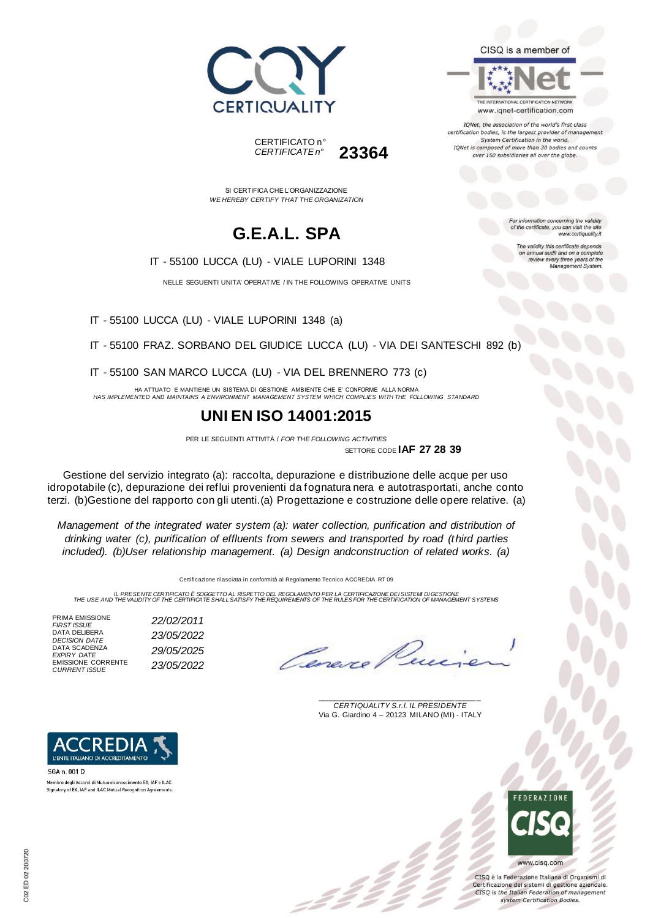





IQNet, the association of the world's first class certification bodies, is the largest provider of manager System Certification in the world. IQNet is composed of more than 30 bodies and counts over 150 subsidiaries all over the globe.

> tion concerning the validity of the certificate, you can visit the sit

The validity this certificate depends on annual audit and on a complete<br>review every three years of the<br>Management System.

www.certiquality.it

SI CERTIFICA CHE L'ORGANIZZAZIONE *WE HEREBY CERTIFY THAT THE ORGANIZATION*

CERTIFICATO n°

*CERTIFICATE n°* **23364**

## **G.E.A.L. SPA**

IT - 55100 LUCCA (LU) - VIALE LUPORINI 1348

NELLE SEGUENTI UNITA' OPERATIVE / IN THE FOLLOWING OPERATIVE UNITS

IT - 55100 LUCCA (LU) - VIALE LUPORINI 1348 (a)

IT - 55100 FRAZ. SORBANO DEL GIUDICE LUCCA (LU) - VIA DEI SANTESCHI 892 (b)

IT - 55100 SAN MARCO LUCCA (LU) - VIA DEL BRENNERO 773 (c)

HA ATTUATO E MANTIENE UN SISTEMA DI GESTIONE AMBIENTE CHE E' CONFORME ALLA NORMA *HAS IMPLEMENTED AND MAINTAINS A ENVIRONMENT MANAGEMENT SYSTEM WHICH COMPLIES WITH THE FOLLOWING STANDARD*

#### **UNI EN ISO 14001:2015**

PER LE SEGUENTI ATTIVITÀ / *FOR THE FOLLOWING ACTIVITIES* SETTORE CODE **IAF 27 28 39**

Gestione del servizio integrato (a): raccolta, depurazione e distribuzione delle acque per uso idropotabile (c), depurazione dei reflui provenienti da fognatura nera e autotrasportati, anche conto terzi. (b)Gestione del rapporto con gli utenti.(a) Progettazione e costruzione delle opere relative. (a)

*Management of the integrated water system (a): water collection, purification and distribution of drinking water (c), purification of effluents from sewers and transported by road (third parties included). (b)User relationship management. (a) Design andconstruction of related works. (a)*

Certificazione rilasciata in conformità al Regolamento Tecnico ACCREDIA RT 09

IL PRESENTE CERTIFICATO E SOGGETTO AL RISPETTO DE REGOLAMENTO PER LA CERTIFICAZIONE DEI SISTEM DI GESTIONE<br>THE USE AND THE VALIDITY OF THE CERTIFICATE SHALL SATISFY THE REQUIREMENTS OF THE RULES FOR THE CERTIFICATION OF MA

PRIMA EMISSIONE<br>FIRST ISSUE DATA DELIBERA<br>DECISION DATE EMISSIONE CORRENTE *CURRENT ISSUE 23/05/2022*



\_\_\_\_\_\_\_\_\_\_\_\_\_\_\_\_\_\_\_\_\_\_\_\_\_\_\_\_\_\_\_\_\_\_\_\_\_\_\_ *CERTIQUALITY S.r.l. IL PRESIDENTE* Via G. Giardino 4 – 20123 MILANO (MI) - ITALY



CISQ è la Federazione Italiana di Organismi di Certificazione dei sistemi di gestione aziendale. CISQ is the Italian Federation of management system Certification Bodies.

*FIRST ISSUE 22/02/2011* DATA SCADENZA *EXPIRY DATE 29/05/2025*



SGA n. 001 D Membro degli Accordi di Mutuo riconoscimento EA, IAF e ILAC. Signatory of EA, IAF and ILAC Mutual Recognition Agreements

*DECISION DATE 23/05/2022*